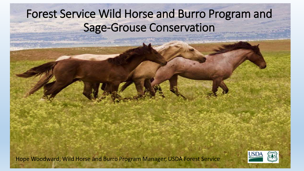# Forest Service Wild Horse and Burro Program and Sage-Grouse Conservation

Hope Woodward, Wild Horse and Burro Program Manager, USDA Forest Service

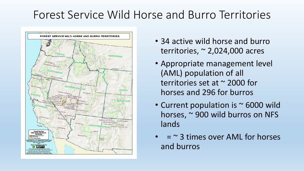### Forest Service Wild Horse and Burro Territories



- 34 active wild horse and burro territories, ~ 2,024,000 acres
- Appropriate management level (AML) population of all territories set at ~ 2000 for horses and 296 for burros
- Current population is ~ 6000 wild horses, ~ 900 wild burros on NFS lands
- $=$   $\sim$  3 times over AML for horses and burros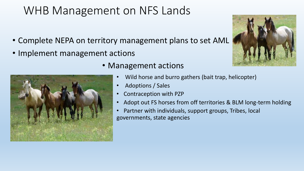# WHB Management on NFS Lands

- Complete NEPA on territory management plans to set AML
- Implement management actions



- Management actions
	- Wild horse and burro gathers (bait trap, helicopter)
	- Adoptions / Sales
	- Contraception with PZP
	- Adopt out FS horses from off territories & BLM long-term holding
	- Partner with individuals, support groups, Tribes, local governments, state agencies

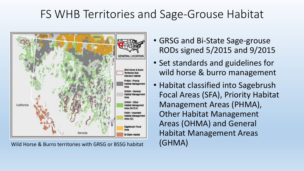#### FS WHB Territories and Sage-Grouse Habitat



Wild Horse & Burro territories with GRSG or BSSG habitat (GHMA)

- GRSG and Bi-State Sage-grouse RODs signed 5/2015 and 9/2015
- Set standards and guidelines for wild horse & burro management
- Habitat classified into Sagebrush Focal Areas (SFA), Priority Habitat Management Areas (PHMA), Other Habitat Management Areas (OHMA) and General Habitat Management Areas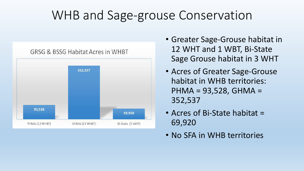# WHB and Sage-grouse Conservation



- Greater Sage-Grouse habitat in 12 WHT and 1 WBT, Bi-State Sage Grouse habitat in 3 WHT
- Acres of Greater Sage-Grouse habitat in WHB territories: PHMA = 93,528, GHMA = 352,537
- Acres of Bi-State habitat = 69,920
- No SFA in WHB territories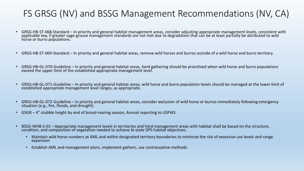#### FS GRSG (NV) and BSSG Management Recommendations (NV, CA)

- GRSG-HB-ST-068-Standard In priority and general habitat management areas, consider adjusting appropriate management levels, consistent with applicable law, if greater sage-grouse management standards are not met due to degradation that can be at least partially be attributed to wild horse or burro populations.
- GRSG-HB-ST-069-Standard In priority and general habitat areas, remove wild horses and burros outside of a wild horse and burro territory.
- GRSG-HB-GL-070-Guideline In priority and general habitat areas, herd gathering should be prioritized when wild horse and burro populations exceed the upper limit of the established appropriate management level.
- GRSG-HB-GL-071-Guideline In priority and general habitat areas, wild horse and burro population levels should be managed at the lower limit of established appropriate management level ranges, as appropriate.
- GRSG-HB-GL-072-Guideline In priority and general habitat areas, consider exclusion of wild horse or burros immediately following emergency situation (e.g., fire, floods, and drought).
- GSGR 4" stubble height by end of brood-rearing season, Annual reporting to USFWS
- BSSG-WHB-S-01 Appropriate management levels in territories and herd management areas with habitat shall be based on the structure, condition, and composition of vegetation needed to achieve bi-state DPS habitat objectives.
	- Maintain wild horse numbers at AML and within designated territory boundaries to minimize the risk of excessive use levels and range expansion
	- Establish AML and management plans, implement gathers, use contraceptive methods